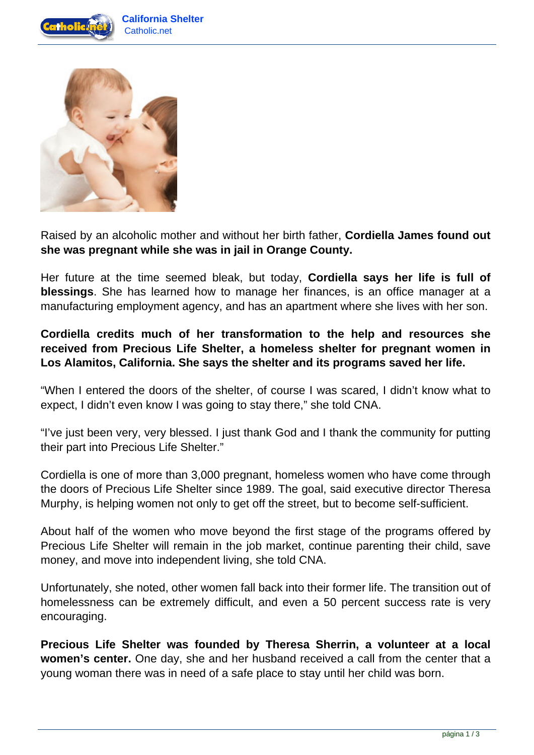



Raised by an alcoholic mother and without her birth father, **Cordiella James found out she was pregnant while she was in jail in Orange County.**

Her future at the time seemed bleak, but today, **Cordiella says her life is full of blessings**. She has learned how to manage her finances, is an office manager at a manufacturing employment agency, and has an apartment where she lives with her son.

## **Cordiella credits much of her transformation to the help and resources she received from Precious Life Shelter, a homeless shelter for pregnant women in Los Alamitos, California. She says the shelter and its programs saved her life.**

"When I entered the doors of the shelter, of course I was scared, I didn't know what to expect, I didn't even know I was going to stay there," she told CNA.

"I've just been very, very blessed. I just thank God and I thank the community for putting their part into Precious Life Shelter."

Cordiella is one of more than 3,000 pregnant, homeless women who have come through the doors of Precious Life Shelter since 1989. The goal, said executive director Theresa Murphy, is helping women not only to get off the street, but to become self-sufficient.

About half of the women who move beyond the first stage of the programs offered by Precious Life Shelter will remain in the job market, continue parenting their child, save money, and move into independent living, she told CNA.

Unfortunately, she noted, other women fall back into their former life. The transition out of homelessness can be extremely difficult, and even a 50 percent success rate is very encouraging.

**Precious Life Shelter was founded by Theresa Sherrin, a volunteer at a local women's center.** One day, she and her husband received a call from the center that a young woman there was in need of a safe place to stay until her child was born.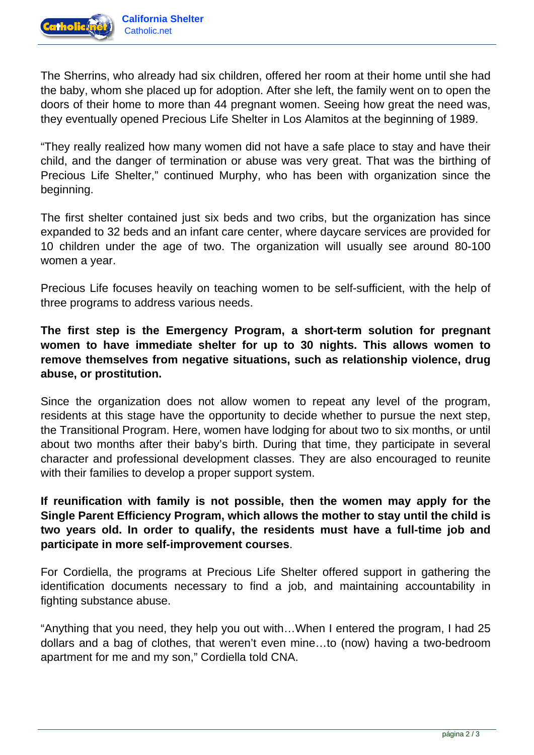

The Sherrins, who already had six children, offered her room at their home until she had the baby, whom she placed up for adoption. After she left, the family went on to open the doors of their home to more than 44 pregnant women. Seeing how great the need was, they eventually opened Precious Life Shelter in Los Alamitos at the beginning of 1989.

"They really realized how many women did not have a safe place to stay and have their child, and the danger of termination or abuse was very great. That was the birthing of Precious Life Shelter," continued Murphy, who has been with organization since the beginning.

The first shelter contained just six beds and two cribs, but the organization has since expanded to 32 beds and an infant care center, where daycare services are provided for 10 children under the age of two. The organization will usually see around 80-100 women a year.

Precious Life focuses heavily on teaching women to be self-sufficient, with the help of three programs to address various needs.

**The first step is the Emergency Program, a short-term solution for pregnant women to have immediate shelter for up to 30 nights. This allows women to remove themselves from negative situations, such as relationship violence, drug abuse, or prostitution.**

Since the organization does not allow women to repeat any level of the program, residents at this stage have the opportunity to decide whether to pursue the next step, the Transitional Program. Here, women have lodging for about two to six months, or until about two months after their baby's birth. During that time, they participate in several character and professional development classes. They are also encouraged to reunite with their families to develop a proper support system.

**If reunification with family is not possible, then the women may apply for the Single Parent Efficiency Program, which allows the mother to stay until the child is two years old. In order to qualify, the residents must have a full-time job and participate in more self-improvement courses**.

For Cordiella, the programs at Precious Life Shelter offered support in gathering the identification documents necessary to find a job, and maintaining accountability in fighting substance abuse.

"Anything that you need, they help you out with…When I entered the program, I had 25 dollars and a bag of clothes, that weren't even mine…to (now) having a two-bedroom apartment for me and my son," Cordiella told CNA.